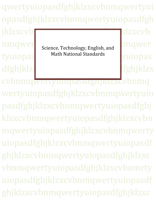qwertyuiopasdfghjklzxcvbnmqwertyui opasdfghjklzxcvbnmqwertyuiopasdfgh

jklzxcvbn nmqwert science Technology Fralish and Imqwer dfghjklzxcvbnmqwertyuiopastale asteroide and dfghjklzx

tyuiopas<sup>Math National Standards</sup> yuiopas Science, Technology, English, and Math National Standards

cvbnmqwertyuiopasdfghjklzxcvbnmq wertyuiopasdfghjklzxcvbnmqwertyuio pasdfghjklzxcvbnmqwertyuiopasdfghj klzxcvbnmqwertyuiopasdfghjklzxcvbn mqwertyuiopasdfghjklzxcvbnmqwerty uiopasdfghjklzxcvbnmqwertyuiopasdf ghjklzxcvbnmqwertyuiopasdfghjklzxc vbnmqwertyuiopasdfghjklzxcvbnmrty uiopasdfghjklzxcvbnmqwertyuiopasdf ghjklzxcvbnmqwertyuiopasdfghjklzxc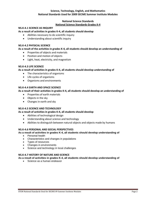# **Science, Technology, English, and Mathematics National Standards Used for 2009 SECME Summer Institute Modules**

# **National Science Standards National Science Standards Grades K-4**

## **NS.K-4.1 SCIENCE AS INQUIRY**

## **As a result of activities in grades K-4, all students should develop**

- Abilities necessary to do scientific inquiry
- Understanding about scientific inquiry

### **NS.K-4.2 PHYSICAL SCIENCE**

### **As a result of the activities in grades K-4, all students should develop an understanding of**

- Properties of objects and materials
- Position and motion of objects
- Light, heat, electricity, and magnetism

## **NS.K-4.3 LIFE SCIENCE**

### **As a result of activities in grades K-4, all students should develop understanding of**

- The characteristics of organisms
- Life cycles of organisms
- Organisms and environments

# **NS.K-4.4 EARTH AND SPACE SCIENCE**

## **As a result of their activities in grades K-4, all students should develop an understanding of**

- Properties of earth materials
- Objects in the sky
- Changes in earth and sky

### **NS.K-4.5 SCIENCE AND TECHNOLOGY**

### **As a result of activities in grades K-4, all students should develop**

- Abilities of technological design
- Understanding about science and technology
- Abilities to distinguish between natural objects and objects made by humans

### **NS.K-4.6 PERSONAL AND SOCIAL PERSPECTIVES**

### **As a result of activities in grades K-4, all students should develop understanding of**

- Personal health
- Characteristics and changes in populations
- Types of resources
- Changes in environments
- Science and technology in local challenges

### **NS.K-4.7 HISTORY OF NATURE AND SCIENCE**

## **As a result of activities in grades K-4, all students should develop understanding of**

• Science as a human endeavor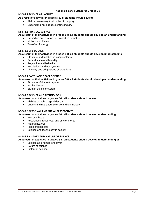## **NS.5-8.1 SCIENCE AS INQUIRY**

## **As a result of activities in grades 5-8, all students should develop**

- Abilities necessary to do scientific inquiry
- Understandings about scientific inquiry

### **NS.5-8.2 PHYSICAL SCIENCE**

### **As a result of their activities in grades 5-8, all students should develop an understanding**

- Properties and changes of properties in matter
- Motions and forces
- Transfer of energy

## **NS.5-8.3 LIFE SCIENCE**

### **As a result of their activities in grades 5-8, all students should develop understanding**

- Structure and function in living systems
- Reproduction and heredity
- Regulation and behavior
- Populations and ecosystems
- Diversity and adaptations of organisms

## **NS.5-8.4 EARTH AND SPACE SCIENCE**

### **As a result of their activities in grades 5-8, all students should develop an understanding**

- Structure of the earth system
- Earth's history
- Earth in the solar system

# **NS.5-8.5 SCIENCE AND TECHNOLOGY**

## **As a result of activities in grades 5-8, all students should develop**

- Abilities of technological design
- Understandings about science and technology

### **NS.5-8.6 PERSONAL AND SOCIAL PERSPECTIVES**

### **As a result of activities in grades 5-8, all students should develop understanding**

- Personal health
- Populations, resources, and environments
- Natural hazards
- Risks and benefits
- Science and technology in society

# **NS.5-8.7 HISTORY AND NATURE OF SCIENCE**

### **As a result of activities in grades 5-8, all students should develop understanding of**

- Science as a human endeavor
- Nature of science
- History of science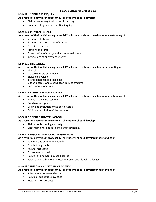### **NS.9-12.1 SCIENCE AS INQUIRY**

## **As a result of activities in grades 9-12, all students should develop**

- Abilities necessary to do scientific inquiry
- Understandings about scientific inquiry

## **NS.9-12.2 PHYSICAL SCIENCE**

### **As a result of their activities in grades 9-12, all students should develop an understanding of**

- Structure of atoms
- Structure and properties of matter
- Chemical reactions
- Motions and forces
- Conservation of energy and increase in disorder
- Interactions of energy and matter

## **NS.9-12.3 LIFE SCIENCE**

**As a result of their activities in grades 9-12, all students should develop understanding of** 

- The cell
- Molecular basis of heredity
- Biological evolution
- Interdependence of organisms
- Matter, energy, and organization in living systems
- Behavior of organisms

## **NS.9-12.4 EARTH AND SPACE SCIENCE**

## **As a result of their activities in grades 9-12, all students should develop an understanding of**

- Energy in the earth system
- **Geochemical cycles**
- Origin and evolution of the earth system
- Origin and evolution of the universe

### **NS.9-12.5 SCIENCE AND TECHNOLOGY**

### **As a result of activities in grades 9-12, all students should develop**

- Abilities of technological design
- Understandings about science and technology

## **NS.9-12.6 PESONAL AND SOCIAL PERSPECTIVES**

### **As a result of activities in grades 9-12, all students should develop understanding of**

- Personal and community health
- Population growth
- Natural resources
- Environmental quality
- Natural and human-induced hazards
- Science and technology in local, national, and global challenges

### **NS.9-12.7 HISTORY AND NATURE OF SCIENCE**

### **As a result of activities in grades 9-12, all students should develop understanding of**

- Science as a human endeavor
- Nature of scientific knowledge
- Historical perspectives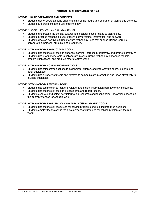## **NT.K-12.1 BASIC OPERATIONS AND CONCEPTS**

- Students demonstrate a sound understanding of the nature and operation of technology systems.
- Students are proficient in the use of technology.

### **NT.K-12.2 SOCIAL, ETHICAL, AND HUMAN ISSUES**

- Students understand the ethical, cultural, and societal issues related to technology.
- Students practice responsible use of technology systems, information, and software.
- Students develop positive attitudes toward technology uses that support lifelong learning, collaboration, personal pursuits, and productivity.

# **NT.K-12.3 TECHNOLOGY PRODUCTIVITY TOOLS**

- Students use technology tools to enhance learning, increase productivity, and promote creativity.
- Students use productivity tools to collaborate in constructing technology-enhanced models, prepare publications, and produce other creative works.

## **NT.K-12.4 TECHNOLOGY COMMUNICATION TOOLS**

- Students use telecommunications to collaborate, publish, and interact with peers, experts, and other audiences.
- Students use a variety of media and formats to communicate information and ideas effectively to multiple audiences.

# **NT.K-12.5 TECHNOLOGY RESEARCH TOOLS**

- Students use technology to locate, evaluate, and collect information from a variety of sources.
- Students use technology tools to process data and report results.
- Students evaluate and select new information resources and technological innovations based on the appropriateness for specific tasks.

### **NT.K-12.6 TECHNOLOGY PROBLEM-SOLVING AND DECISION-MAKING TOOLS**

- Students use technology resources for solving problems and making informed decisions.
- Students employ technology in the development of strategies for solving problems in the real world.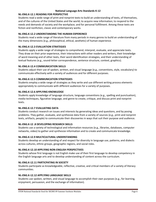# **National Language Arts Standards K-12**

# **NL-ENG.K-12.1 READING FOR PERSPECTIVE**

Students read a wide range of print and nonprint texts to build an understanding of texts, of themselves, and of the cultures of the United States and the world; to acquire new information; to respond to the needs and demands of society and the workplace; and for personal fulfillment. Among these texts are fiction and nonfiction, classic and contemporary works.

# **NL-ENG.K-12.2 UNDERSTANDING THE HUMAN EXPEREINCE**

Students read a wide range of literature from many periods in many genres to build an understanding of the many dimensions (e.g., philosophical, ethical, aesthetic) of human experience.

# **NL-ENG.K-12.3 EVALUATION STRATEGIES**

Students apply a wide range of strategies to comprehend, interpret, evaluate, and appreciate texts. They draw on their prior experience, their interactions with other readers and writers, their knowledge of word meaning and of other texts, their word identification strategies, and their understanding of textual features (e.g., sound-letter correspondence, sentence structure, context, graphics).

# **NL-ENG.K-12.4 COMMUNICATION SKILLS**

Students adjust their use of spoken, written, and visual language (e.g., conventions, style, vocabulary) to communicate effectively with a variety of audiences and for different purposes.

# **NL-ENG.K-12.5 COMMUNICATION STRATEGIES**

Students employ a wide range of strategies as they write and use different writing process elements appropriately to communicate with different audiences for a variety of purposes.

# **NL-ENG.K-12.6 APPLYING KNOWLEDGE**

Students apply knowledge of language structure, language conventions (e.g., spelling and punctuation), media techniques, figurative language, and genre to create, critique, and discuss print and nonprint texts.

# **NL-ENG.K-12.7 EVALUATING DATA**

Students conduct research on issues and interests by generating ideas and questions, and by posing problems. They gather, evaluate, and synthesize data from a variety of sources (e.g., print and nonprint texts, artifacts, people) to communicate their discoveries in ways that suit their purpose and audience.

# **NL-ENG.K-12 .8 DEVELOPING RESEARCH SKILLS**

Students use a variety of technological and information resources (e.g., libraries, databases, computer networks, video) to gather and synthesize information and to create and communicate knowledge.

# **NL-ENG.K-12.9 MULTICULTURAL UNDERSTANDING**

Students develop an understanding of and respect for diversity in language use, patterns, and dialects across cultures, ethnic groups, geographic regions, and social roles.

# **NL-ENG.K-12.10 APPLYING NON-ENGLISH PERSPECTIVES**

Students whose first language is not English make use of their first language to develop competency in the English language arts and to develop understanding of content across the curriculum.

# **NL-ENG.K-12.11 PARTICPATING IN SOCIETY**

Students participate as knowledgeable, reflective, creative, and critical members of a variety of literacy communities.

# **NL-ENG.K-12.12 APPLYING LANGUAGE SKILLS**

Students use spoken, written, and visual language to accomplish their own purposes (e.g., for learning, enjoyment, persuasion, and the exchange of information).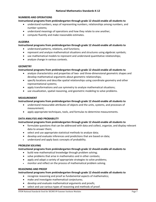## **NUMBERS AND OPERATIONS**

## **Instructional programs from prekindergarten through grade 12 should enable all students to**

- understand numbers, ways of representing numbers, relationships among numbers, and number systems;
- understand meanings of operations and how they relate to one another;
- compute fluently and make reasonable estimates.

## **ALGEBRA**

## **Instructional programs from prekindergarten through grade 12 should enable all students to**

- understand patterns, relations, and functions;
- represent and analyze mathematical situations and structures using algebraic symbols;
- use mathematical models to represent and understand quantitative relationships;
- analyze change in various contexts.

# **GEOMETRY**

# **Instructional programs from prekindergarten through grade 12 should enable all students to**

- analyze characteristics and properties of two- and three-dimensional geometric shapes and develop mathematical arguments about geometric relationships;
- specify locations and describe spatial relationships using coordinate geometry and other representational systems;
- apply transformations and use symmetry to analyze mathematical situations;
- use visualization, spatial reasoning, and geometric modeling to solve problems.

## **MEASUREMENT**

# **Instructional programs from prekindergarten through grade 12 should enable all students to**

- understand measurable attributes of objects and the units, systems, and processes of measurement;
- apply appropriate techniques, tools, and formulas to determine measurements.

# **DATA ANALYSIS AND PROBABILITY**

# **Instructional programs from prekindergarten through grade 12 should enable all students to**

- formulate questions that can be addressed with data and collect, organize, and display relevant data to answer them;
- select and use appropriate statistical methods to analyze data;
- develop and evaluate inferences and predictions that are based on data;
- understand and apply basic concepts of probability.

# **PROBLEM SOLVING**

# **Instructional programs from prekindergarten through grade 12 should enable all students to**

- build new mathematical knowledge through problem solving;
- solve problems that arise in mathematics and in other contexts;
- apply and adapt a variety of appropriate strategies to solve problems;
- monitor and reflect on the process of mathematical problem solving.

# **REASONING AND PROOF**

# **Instructional programs from prekindergarten through grade 12 should enable all students to**

- recognize reasoning and proof as fundamental aspects of mathematics;
- make and investigate mathematical conjectures;
- develop and evaluate mathematical arguments and proofs;
- select and use various types of reasoning and methods of proof.